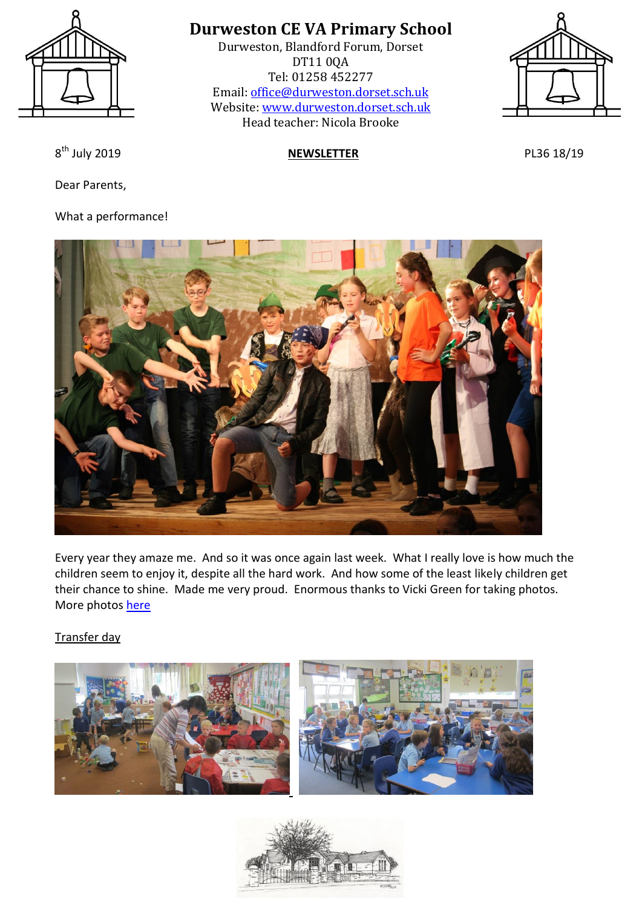

# **Durweston CE VA Primary School**

Durweston, Blandford Forum, Dorset DT11 0QA Tel: 01258 452277 Email: [office@durweston.dorset.sch.uk](mailto:office@durweston.dorset.sch.uk) Website: [www.durweston.dorset.sch.uk](http://www.durweston.dorset.sch.uk/) Head teacher: Nicola Brooke



8<sup>th</sup> July 2019

Dear Parents,

## What a performance!

## **NEWSLETTER** PL36 18/19



Every year they amaze me. And so it was once again last week. What I really love is how much the children seem to enjoy it, despite all the hard work. And how some of the least likely children get their chance to shine. Made me very proud. Enormous thanks to Vicki Green for taking photos. More photos [here](http://durweston-schoolblog.blogspot.com/2019/07/dragon-days.html)

Transfer day



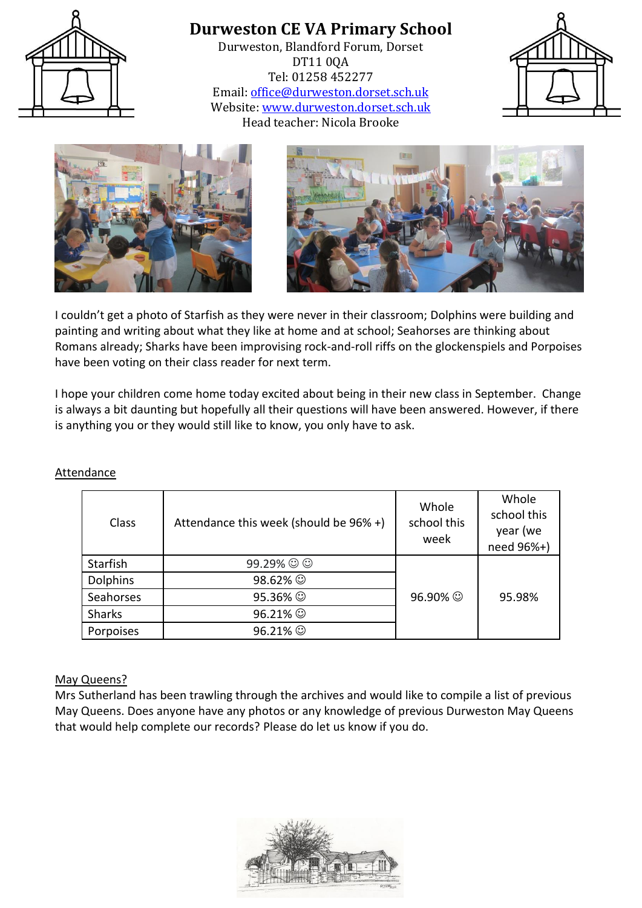

**Durweston CE VA Primary School** Durweston, Blandford Forum, Dorset DT11 0QA Tel: 01258 452277 Email: [office@durweston.dorset.sch.uk](mailto:office@durweston.dorset.sch.uk) Website: [www.durweston.dorset.sch.uk](http://www.durweston.dorset.sch.uk/) Head teacher: Nicola Brooke







I couldn't get a photo of Starfish as they were never in their classroom; Dolphins were building and painting and writing about what they like at home and at school; Seahorses are thinking about Romans already; Sharks have been improvising rock-and-roll riffs on the glockenspiels and Porpoises have been voting on their class reader for next term.

I hope your children come home today excited about being in their new class in September. Change is always a bit daunting but hopefully all their questions will have been answered. However, if there is anything you or they would still like to know, you only have to ask.

| Class           | Attendance this week (should be 96% +) | Whole<br>school this<br>week | Whole<br>school this<br>year (we<br>need 96%+) |
|-----------------|----------------------------------------|------------------------------|------------------------------------------------|
| Starfish        | $99.29\%$ $\odot$ $\odot$              |                              |                                                |
| <b>Dolphins</b> | 98.62% ©                               |                              |                                                |
| Seahorses       | 95.36% ©                               | 96.90%                       | 95.98%                                         |
| <b>Sharks</b>   | 96.21% ©                               |                              |                                                |
| Porpoises       | 96.21% ©                               |                              |                                                |

#### Attendance

#### May Queens?

Mrs Sutherland has been trawling through the archives and would like to compile a list of previous May Queens. Does anyone have any photos or any knowledge of previous Durweston May Queens that would help complete our records? Please do let us know if you do.

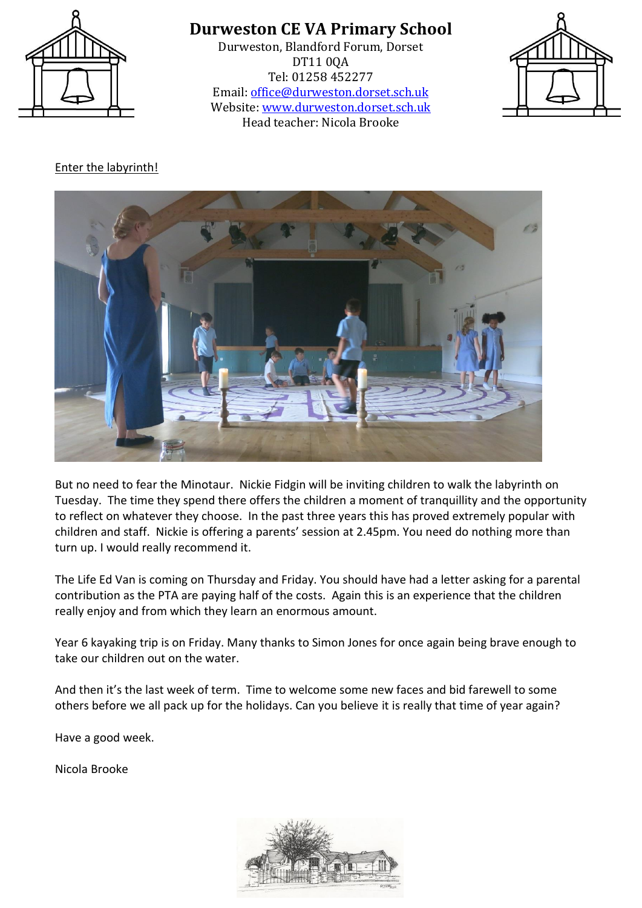

## **Durweston CE VA Primary School**

Durweston, Blandford Forum, Dorset DT11 0QA Tel: 01258 452277 Email: [office@durweston.dorset.sch.uk](mailto:office@durweston.dorset.sch.uk) Website: [www.durweston.dorset.sch.uk](http://www.durweston.dorset.sch.uk/) Head teacher: Nicola Brooke



## Enter the labyrinth!



But no need to fear the Minotaur. Nickie Fidgin will be inviting children to walk the labyrinth on Tuesday. The time they spend there offers the children a moment of tranquillity and the opportunity to reflect on whatever they choose. In the past three years this has proved extremely popular with children and staff. Nickie is offering a parents' session at 2.45pm. You need do nothing more than turn up. I would really recommend it.

The Life Ed Van is coming on Thursday and Friday. You should have had a letter asking for a parental contribution as the PTA are paying half of the costs. Again this is an experience that the children really enjoy and from which they learn an enormous amount.

Year 6 kayaking trip is on Friday. Many thanks to Simon Jones for once again being brave enough to take our children out on the water.

And then it's the last week of term. Time to welcome some new faces and bid farewell to some others before we all pack up for the holidays. Can you believe it is really that time of year again?

Have a good week.

Nicola Brooke